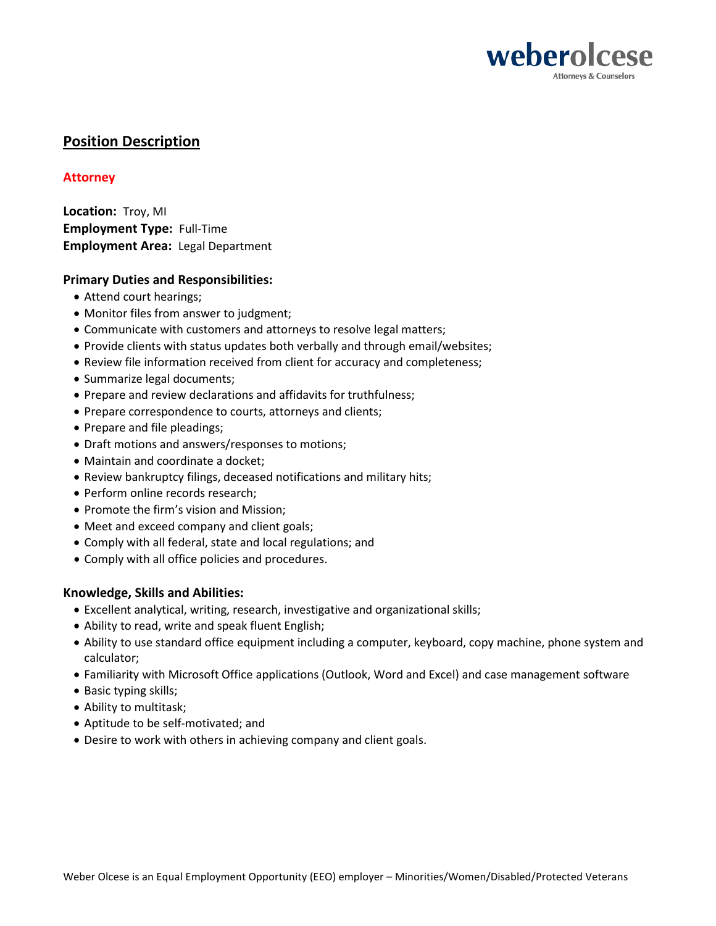

# **Position Description**

## **Attorney**

**Location:** Troy, MI **Employment Type:** Full-Time **Employment Area:** Legal Department

## **Primary Duties and Responsibilities:**

- Attend court hearings;
- Monitor files from answer to judgment;
- Communicate with customers and attorneys to resolve legal matters;
- Provide clients with status updates both verbally and through email/websites;
- Review file information received from client for accuracy and completeness;
- Summarize legal documents;
- Prepare and review declarations and affidavits for truthfulness;
- Prepare correspondence to courts, attorneys and clients;
- Prepare and file pleadings;
- Draft motions and answers/responses to motions;
- Maintain and coordinate a docket;
- Review bankruptcy filings, deceased notifications and military hits;
- Perform online records research;
- Promote the firm's vision and Mission;
- Meet and exceed company and client goals;
- Comply with all federal, state and local regulations; and
- Comply with all office policies and procedures.

## **Knowledge, Skills and Abilities:**

- Excellent analytical, writing, research, investigative and organizational skills;
- Ability to read, write and speak fluent English;
- Ability to use standard office equipment including a computer, keyboard, copy machine, phone system and calculator;
- Familiarity with Microsoft Office applications (Outlook, Word and Excel) and case management software
- Basic typing skills;
- Ability to multitask;
- Aptitude to be self-motivated; and
- Desire to work with others in achieving company and client goals.